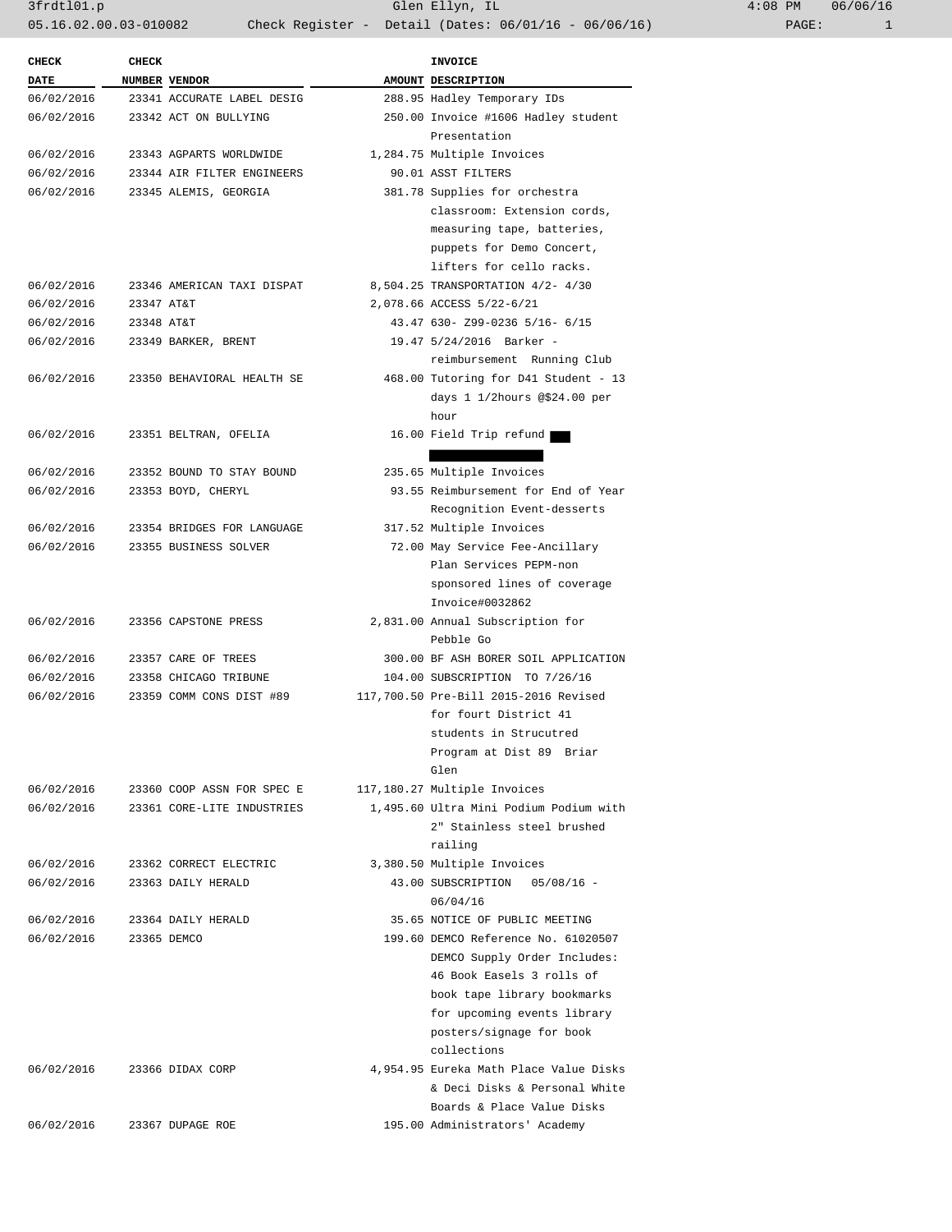3frdtl01.p Glen Ellyn, IL 4:08 PM 06/06/16 05.16.02.00.03-010082 Check Register - Detail (Dates: 06/01/16 - 06/06/16)

| AMOUNT DESCRIPTION<br>NUMBER VENDOR<br>288.95 Hadley Temporary IDs<br>23341 ACCURATE LABEL DESIG<br>250.00 Invoice #1606 Hadley student<br>23342 ACT ON BULLYING<br>Presentation<br>06/02/2016<br>23343 AGPARTS WORLDWIDE<br>1,284.75 Multiple Invoices<br>90.01 ASST FILTERS<br>06/02/2016<br>23344 AIR FILTER ENGINEERS<br>06/02/2016<br>23345 ALEMIS, GEORGIA<br>381.78 Supplies for orchestra<br>classroom: Extension cords,<br>measuring tape, batteries,<br>puppets for Demo Concert,<br>lifters for cello racks.<br>8,504.25 TRANSPORTATION 4/2- 4/30<br>06/02/2016<br>23346 AMERICAN TAXI DISPAT<br>2,078.66 ACCESS 5/22-6/21<br>06/02/2016<br>23347 AT&T<br>43.47 630- Z99-0236 5/16- 6/15<br>23348 AT&T<br>19.47 5/24/2016 Barker -<br>23349 BARKER, BRENT<br>reimbursement Running Club<br>468.00 Tutoring for D41 Student - 13<br>06/02/2016<br>23350 BEHAVIORAL HEALTH SE<br>days $1 \frac{1}{2}$ hours @\$24.00 per<br>hour<br>16.00 Field Trip refund<br>23351 BELTRAN, OFELIA<br>235.65 Multiple Invoices<br>23352 BOUND TO STAY BOUND<br>93.55 Reimbursement for End of Year<br>23353 BOYD, CHERYL<br>Recognition Event-desserts<br>317.52 Multiple Invoices<br>06/02/2016<br>23354 BRIDGES FOR LANGUAGE<br>06/02/2016<br>72.00 May Service Fee-Ancillary<br>23355 BUSINESS SOLVER<br>Plan Services PEPM-non<br>sponsored lines of coverage<br>Invoice#0032862<br>2,831.00 Annual Subscription for<br>06/02/2016<br>23356 CAPSTONE PRESS<br>Pebble Go<br>06/02/2016<br>23357 CARE OF TREES<br>300.00 BF ASH BORER SOIL APPLICATION<br>06/02/2016<br>23358 CHICAGO TRIBUNE<br>104.00 SUBSCRIPTION TO 7/26/16<br>117,700.50 Pre-Bill 2015-2016 Revised<br>23359 COMM CONS DIST #89<br>for fourt District 41<br>students in Strucutred<br>Program at Dist 89 Briar<br>Glen<br>23360 COOP ASSN FOR SPEC E<br>117,180.27 Multiple Invoices<br>06/02/2016<br>1,495.60 Ultra Mini Podium Podium with<br>23361 CORE-LITE INDUSTRIES<br>2" Stainless steel brushed<br>railing<br>3,380.50 Multiple Invoices<br>23362 CORRECT ELECTRIC<br>06/02/2016<br>43.00 SUBSCRIPTION 05/08/16 -<br>23363 DAILY HERALD<br>06/04/16<br>35.65 NOTICE OF PUBLIC MEETING<br>06/02/2016<br>23364 DAILY HERALD<br>06/02/2016<br>199.60 DEMCO Reference No. 61020507<br>23365 DEMCO<br>DEMCO Supply Order Includes:<br>46 Book Easels 3 rolls of<br>book tape library bookmarks<br>for upcoming events library<br>posters/signage for book<br>collections<br>4,954.95 Eureka Math Place Value Disks<br>06/02/2016<br>23366 DIDAX CORP | <b>CHECK</b> | <b>CHECK</b> |  | INVOICE |
|----------------------------------------------------------------------------------------------------------------------------------------------------------------------------------------------------------------------------------------------------------------------------------------------------------------------------------------------------------------------------------------------------------------------------------------------------------------------------------------------------------------------------------------------------------------------------------------------------------------------------------------------------------------------------------------------------------------------------------------------------------------------------------------------------------------------------------------------------------------------------------------------------------------------------------------------------------------------------------------------------------------------------------------------------------------------------------------------------------------------------------------------------------------------------------------------------------------------------------------------------------------------------------------------------------------------------------------------------------------------------------------------------------------------------------------------------------------------------------------------------------------------------------------------------------------------------------------------------------------------------------------------------------------------------------------------------------------------------------------------------------------------------------------------------------------------------------------------------------------------------------------------------------------------------------------------------------------------------------------------------------------------------------------------------------------------------------------------------------------------------------------------------------------------------------------------------------------------------------------------------------------------------------------------------------------------------------------------------------------------------------------------------------------------------------------------------------------------------------------------------------------------------|--------------|--------------|--|---------|
|                                                                                                                                                                                                                                                                                                                                                                                                                                                                                                                                                                                                                                                                                                                                                                                                                                                                                                                                                                                                                                                                                                                                                                                                                                                                                                                                                                                                                                                                                                                                                                                                                                                                                                                                                                                                                                                                                                                                                                                                                                                                                                                                                                                                                                                                                                                                                                                                                                                                                                                            | <b>DATE</b>  |              |  |         |
|                                                                                                                                                                                                                                                                                                                                                                                                                                                                                                                                                                                                                                                                                                                                                                                                                                                                                                                                                                                                                                                                                                                                                                                                                                                                                                                                                                                                                                                                                                                                                                                                                                                                                                                                                                                                                                                                                                                                                                                                                                                                                                                                                                                                                                                                                                                                                                                                                                                                                                                            | 06/02/2016   |              |  |         |
|                                                                                                                                                                                                                                                                                                                                                                                                                                                                                                                                                                                                                                                                                                                                                                                                                                                                                                                                                                                                                                                                                                                                                                                                                                                                                                                                                                                                                                                                                                                                                                                                                                                                                                                                                                                                                                                                                                                                                                                                                                                                                                                                                                                                                                                                                                                                                                                                                                                                                                                            | 06/02/2016   |              |  |         |
|                                                                                                                                                                                                                                                                                                                                                                                                                                                                                                                                                                                                                                                                                                                                                                                                                                                                                                                                                                                                                                                                                                                                                                                                                                                                                                                                                                                                                                                                                                                                                                                                                                                                                                                                                                                                                                                                                                                                                                                                                                                                                                                                                                                                                                                                                                                                                                                                                                                                                                                            |              |              |  |         |
|                                                                                                                                                                                                                                                                                                                                                                                                                                                                                                                                                                                                                                                                                                                                                                                                                                                                                                                                                                                                                                                                                                                                                                                                                                                                                                                                                                                                                                                                                                                                                                                                                                                                                                                                                                                                                                                                                                                                                                                                                                                                                                                                                                                                                                                                                                                                                                                                                                                                                                                            |              |              |  |         |
|                                                                                                                                                                                                                                                                                                                                                                                                                                                                                                                                                                                                                                                                                                                                                                                                                                                                                                                                                                                                                                                                                                                                                                                                                                                                                                                                                                                                                                                                                                                                                                                                                                                                                                                                                                                                                                                                                                                                                                                                                                                                                                                                                                                                                                                                                                                                                                                                                                                                                                                            |              |              |  |         |
|                                                                                                                                                                                                                                                                                                                                                                                                                                                                                                                                                                                                                                                                                                                                                                                                                                                                                                                                                                                                                                                                                                                                                                                                                                                                                                                                                                                                                                                                                                                                                                                                                                                                                                                                                                                                                                                                                                                                                                                                                                                                                                                                                                                                                                                                                                                                                                                                                                                                                                                            |              |              |  |         |
|                                                                                                                                                                                                                                                                                                                                                                                                                                                                                                                                                                                                                                                                                                                                                                                                                                                                                                                                                                                                                                                                                                                                                                                                                                                                                                                                                                                                                                                                                                                                                                                                                                                                                                                                                                                                                                                                                                                                                                                                                                                                                                                                                                                                                                                                                                                                                                                                                                                                                                                            |              |              |  |         |
|                                                                                                                                                                                                                                                                                                                                                                                                                                                                                                                                                                                                                                                                                                                                                                                                                                                                                                                                                                                                                                                                                                                                                                                                                                                                                                                                                                                                                                                                                                                                                                                                                                                                                                                                                                                                                                                                                                                                                                                                                                                                                                                                                                                                                                                                                                                                                                                                                                                                                                                            |              |              |  |         |
|                                                                                                                                                                                                                                                                                                                                                                                                                                                                                                                                                                                                                                                                                                                                                                                                                                                                                                                                                                                                                                                                                                                                                                                                                                                                                                                                                                                                                                                                                                                                                                                                                                                                                                                                                                                                                                                                                                                                                                                                                                                                                                                                                                                                                                                                                                                                                                                                                                                                                                                            |              |              |  |         |
|                                                                                                                                                                                                                                                                                                                                                                                                                                                                                                                                                                                                                                                                                                                                                                                                                                                                                                                                                                                                                                                                                                                                                                                                                                                                                                                                                                                                                                                                                                                                                                                                                                                                                                                                                                                                                                                                                                                                                                                                                                                                                                                                                                                                                                                                                                                                                                                                                                                                                                                            |              |              |  |         |
|                                                                                                                                                                                                                                                                                                                                                                                                                                                                                                                                                                                                                                                                                                                                                                                                                                                                                                                                                                                                                                                                                                                                                                                                                                                                                                                                                                                                                                                                                                                                                                                                                                                                                                                                                                                                                                                                                                                                                                                                                                                                                                                                                                                                                                                                                                                                                                                                                                                                                                                            |              |              |  |         |
|                                                                                                                                                                                                                                                                                                                                                                                                                                                                                                                                                                                                                                                                                                                                                                                                                                                                                                                                                                                                                                                                                                                                                                                                                                                                                                                                                                                                                                                                                                                                                                                                                                                                                                                                                                                                                                                                                                                                                                                                                                                                                                                                                                                                                                                                                                                                                                                                                                                                                                                            | 06/02/2016   |              |  |         |
|                                                                                                                                                                                                                                                                                                                                                                                                                                                                                                                                                                                                                                                                                                                                                                                                                                                                                                                                                                                                                                                                                                                                                                                                                                                                                                                                                                                                                                                                                                                                                                                                                                                                                                                                                                                                                                                                                                                                                                                                                                                                                                                                                                                                                                                                                                                                                                                                                                                                                                                            | 06/02/2016   |              |  |         |
|                                                                                                                                                                                                                                                                                                                                                                                                                                                                                                                                                                                                                                                                                                                                                                                                                                                                                                                                                                                                                                                                                                                                                                                                                                                                                                                                                                                                                                                                                                                                                                                                                                                                                                                                                                                                                                                                                                                                                                                                                                                                                                                                                                                                                                                                                                                                                                                                                                                                                                                            |              |              |  |         |
|                                                                                                                                                                                                                                                                                                                                                                                                                                                                                                                                                                                                                                                                                                                                                                                                                                                                                                                                                                                                                                                                                                                                                                                                                                                                                                                                                                                                                                                                                                                                                                                                                                                                                                                                                                                                                                                                                                                                                                                                                                                                                                                                                                                                                                                                                                                                                                                                                                                                                                                            |              |              |  |         |
|                                                                                                                                                                                                                                                                                                                                                                                                                                                                                                                                                                                                                                                                                                                                                                                                                                                                                                                                                                                                                                                                                                                                                                                                                                                                                                                                                                                                                                                                                                                                                                                                                                                                                                                                                                                                                                                                                                                                                                                                                                                                                                                                                                                                                                                                                                                                                                                                                                                                                                                            |              |              |  |         |
|                                                                                                                                                                                                                                                                                                                                                                                                                                                                                                                                                                                                                                                                                                                                                                                                                                                                                                                                                                                                                                                                                                                                                                                                                                                                                                                                                                                                                                                                                                                                                                                                                                                                                                                                                                                                                                                                                                                                                                                                                                                                                                                                                                                                                                                                                                                                                                                                                                                                                                                            |              |              |  |         |
|                                                                                                                                                                                                                                                                                                                                                                                                                                                                                                                                                                                                                                                                                                                                                                                                                                                                                                                                                                                                                                                                                                                                                                                                                                                                                                                                                                                                                                                                                                                                                                                                                                                                                                                                                                                                                                                                                                                                                                                                                                                                                                                                                                                                                                                                                                                                                                                                                                                                                                                            | 06/02/2016   |              |  |         |
|                                                                                                                                                                                                                                                                                                                                                                                                                                                                                                                                                                                                                                                                                                                                                                                                                                                                                                                                                                                                                                                                                                                                                                                                                                                                                                                                                                                                                                                                                                                                                                                                                                                                                                                                                                                                                                                                                                                                                                                                                                                                                                                                                                                                                                                                                                                                                                                                                                                                                                                            |              |              |  |         |
|                                                                                                                                                                                                                                                                                                                                                                                                                                                                                                                                                                                                                                                                                                                                                                                                                                                                                                                                                                                                                                                                                                                                                                                                                                                                                                                                                                                                                                                                                                                                                                                                                                                                                                                                                                                                                                                                                                                                                                                                                                                                                                                                                                                                                                                                                                                                                                                                                                                                                                                            | 06/02/2016   |              |  |         |
|                                                                                                                                                                                                                                                                                                                                                                                                                                                                                                                                                                                                                                                                                                                                                                                                                                                                                                                                                                                                                                                                                                                                                                                                                                                                                                                                                                                                                                                                                                                                                                                                                                                                                                                                                                                                                                                                                                                                                                                                                                                                                                                                                                                                                                                                                                                                                                                                                                                                                                                            | 06/02/2016   |              |  |         |
|                                                                                                                                                                                                                                                                                                                                                                                                                                                                                                                                                                                                                                                                                                                                                                                                                                                                                                                                                                                                                                                                                                                                                                                                                                                                                                                                                                                                                                                                                                                                                                                                                                                                                                                                                                                                                                                                                                                                                                                                                                                                                                                                                                                                                                                                                                                                                                                                                                                                                                                            |              |              |  |         |
|                                                                                                                                                                                                                                                                                                                                                                                                                                                                                                                                                                                                                                                                                                                                                                                                                                                                                                                                                                                                                                                                                                                                                                                                                                                                                                                                                                                                                                                                                                                                                                                                                                                                                                                                                                                                                                                                                                                                                                                                                                                                                                                                                                                                                                                                                                                                                                                                                                                                                                                            |              |              |  |         |
|                                                                                                                                                                                                                                                                                                                                                                                                                                                                                                                                                                                                                                                                                                                                                                                                                                                                                                                                                                                                                                                                                                                                                                                                                                                                                                                                                                                                                                                                                                                                                                                                                                                                                                                                                                                                                                                                                                                                                                                                                                                                                                                                                                                                                                                                                                                                                                                                                                                                                                                            |              |              |  |         |
|                                                                                                                                                                                                                                                                                                                                                                                                                                                                                                                                                                                                                                                                                                                                                                                                                                                                                                                                                                                                                                                                                                                                                                                                                                                                                                                                                                                                                                                                                                                                                                                                                                                                                                                                                                                                                                                                                                                                                                                                                                                                                                                                                                                                                                                                                                                                                                                                                                                                                                                            |              |              |  |         |
|                                                                                                                                                                                                                                                                                                                                                                                                                                                                                                                                                                                                                                                                                                                                                                                                                                                                                                                                                                                                                                                                                                                                                                                                                                                                                                                                                                                                                                                                                                                                                                                                                                                                                                                                                                                                                                                                                                                                                                                                                                                                                                                                                                                                                                                                                                                                                                                                                                                                                                                            |              |              |  |         |
|                                                                                                                                                                                                                                                                                                                                                                                                                                                                                                                                                                                                                                                                                                                                                                                                                                                                                                                                                                                                                                                                                                                                                                                                                                                                                                                                                                                                                                                                                                                                                                                                                                                                                                                                                                                                                                                                                                                                                                                                                                                                                                                                                                                                                                                                                                                                                                                                                                                                                                                            |              |              |  |         |
|                                                                                                                                                                                                                                                                                                                                                                                                                                                                                                                                                                                                                                                                                                                                                                                                                                                                                                                                                                                                                                                                                                                                                                                                                                                                                                                                                                                                                                                                                                                                                                                                                                                                                                                                                                                                                                                                                                                                                                                                                                                                                                                                                                                                                                                                                                                                                                                                                                                                                                                            |              |              |  |         |
|                                                                                                                                                                                                                                                                                                                                                                                                                                                                                                                                                                                                                                                                                                                                                                                                                                                                                                                                                                                                                                                                                                                                                                                                                                                                                                                                                                                                                                                                                                                                                                                                                                                                                                                                                                                                                                                                                                                                                                                                                                                                                                                                                                                                                                                                                                                                                                                                                                                                                                                            |              |              |  |         |
|                                                                                                                                                                                                                                                                                                                                                                                                                                                                                                                                                                                                                                                                                                                                                                                                                                                                                                                                                                                                                                                                                                                                                                                                                                                                                                                                                                                                                                                                                                                                                                                                                                                                                                                                                                                                                                                                                                                                                                                                                                                                                                                                                                                                                                                                                                                                                                                                                                                                                                                            |              |              |  |         |
|                                                                                                                                                                                                                                                                                                                                                                                                                                                                                                                                                                                                                                                                                                                                                                                                                                                                                                                                                                                                                                                                                                                                                                                                                                                                                                                                                                                                                                                                                                                                                                                                                                                                                                                                                                                                                                                                                                                                                                                                                                                                                                                                                                                                                                                                                                                                                                                                                                                                                                                            | 06/02/2016   |              |  |         |
|                                                                                                                                                                                                                                                                                                                                                                                                                                                                                                                                                                                                                                                                                                                                                                                                                                                                                                                                                                                                                                                                                                                                                                                                                                                                                                                                                                                                                                                                                                                                                                                                                                                                                                                                                                                                                                                                                                                                                                                                                                                                                                                                                                                                                                                                                                                                                                                                                                                                                                                            |              |              |  |         |
|                                                                                                                                                                                                                                                                                                                                                                                                                                                                                                                                                                                                                                                                                                                                                                                                                                                                                                                                                                                                                                                                                                                                                                                                                                                                                                                                                                                                                                                                                                                                                                                                                                                                                                                                                                                                                                                                                                                                                                                                                                                                                                                                                                                                                                                                                                                                                                                                                                                                                                                            |              |              |  |         |
|                                                                                                                                                                                                                                                                                                                                                                                                                                                                                                                                                                                                                                                                                                                                                                                                                                                                                                                                                                                                                                                                                                                                                                                                                                                                                                                                                                                                                                                                                                                                                                                                                                                                                                                                                                                                                                                                                                                                                                                                                                                                                                                                                                                                                                                                                                                                                                                                                                                                                                                            |              |              |  |         |
|                                                                                                                                                                                                                                                                                                                                                                                                                                                                                                                                                                                                                                                                                                                                                                                                                                                                                                                                                                                                                                                                                                                                                                                                                                                                                                                                                                                                                                                                                                                                                                                                                                                                                                                                                                                                                                                                                                                                                                                                                                                                                                                                                                                                                                                                                                                                                                                                                                                                                                                            |              |              |  |         |
|                                                                                                                                                                                                                                                                                                                                                                                                                                                                                                                                                                                                                                                                                                                                                                                                                                                                                                                                                                                                                                                                                                                                                                                                                                                                                                                                                                                                                                                                                                                                                                                                                                                                                                                                                                                                                                                                                                                                                                                                                                                                                                                                                                                                                                                                                                                                                                                                                                                                                                                            |              |              |  |         |
|                                                                                                                                                                                                                                                                                                                                                                                                                                                                                                                                                                                                                                                                                                                                                                                                                                                                                                                                                                                                                                                                                                                                                                                                                                                                                                                                                                                                                                                                                                                                                                                                                                                                                                                                                                                                                                                                                                                                                                                                                                                                                                                                                                                                                                                                                                                                                                                                                                                                                                                            | 06/02/2016   |              |  |         |
|                                                                                                                                                                                                                                                                                                                                                                                                                                                                                                                                                                                                                                                                                                                                                                                                                                                                                                                                                                                                                                                                                                                                                                                                                                                                                                                                                                                                                                                                                                                                                                                                                                                                                                                                                                                                                                                                                                                                                                                                                                                                                                                                                                                                                                                                                                                                                                                                                                                                                                                            |              |              |  |         |
|                                                                                                                                                                                                                                                                                                                                                                                                                                                                                                                                                                                                                                                                                                                                                                                                                                                                                                                                                                                                                                                                                                                                                                                                                                                                                                                                                                                                                                                                                                                                                                                                                                                                                                                                                                                                                                                                                                                                                                                                                                                                                                                                                                                                                                                                                                                                                                                                                                                                                                                            |              |              |  |         |
|                                                                                                                                                                                                                                                                                                                                                                                                                                                                                                                                                                                                                                                                                                                                                                                                                                                                                                                                                                                                                                                                                                                                                                                                                                                                                                                                                                                                                                                                                                                                                                                                                                                                                                                                                                                                                                                                                                                                                                                                                                                                                                                                                                                                                                                                                                                                                                                                                                                                                                                            | 06/02/2016   |              |  |         |
|                                                                                                                                                                                                                                                                                                                                                                                                                                                                                                                                                                                                                                                                                                                                                                                                                                                                                                                                                                                                                                                                                                                                                                                                                                                                                                                                                                                                                                                                                                                                                                                                                                                                                                                                                                                                                                                                                                                                                                                                                                                                                                                                                                                                                                                                                                                                                                                                                                                                                                                            |              |              |  |         |
|                                                                                                                                                                                                                                                                                                                                                                                                                                                                                                                                                                                                                                                                                                                                                                                                                                                                                                                                                                                                                                                                                                                                                                                                                                                                                                                                                                                                                                                                                                                                                                                                                                                                                                                                                                                                                                                                                                                                                                                                                                                                                                                                                                                                                                                                                                                                                                                                                                                                                                                            |              |              |  |         |
|                                                                                                                                                                                                                                                                                                                                                                                                                                                                                                                                                                                                                                                                                                                                                                                                                                                                                                                                                                                                                                                                                                                                                                                                                                                                                                                                                                                                                                                                                                                                                                                                                                                                                                                                                                                                                                                                                                                                                                                                                                                                                                                                                                                                                                                                                                                                                                                                                                                                                                                            |              |              |  |         |
|                                                                                                                                                                                                                                                                                                                                                                                                                                                                                                                                                                                                                                                                                                                                                                                                                                                                                                                                                                                                                                                                                                                                                                                                                                                                                                                                                                                                                                                                                                                                                                                                                                                                                                                                                                                                                                                                                                                                                                                                                                                                                                                                                                                                                                                                                                                                                                                                                                                                                                                            |              |              |  |         |
|                                                                                                                                                                                                                                                                                                                                                                                                                                                                                                                                                                                                                                                                                                                                                                                                                                                                                                                                                                                                                                                                                                                                                                                                                                                                                                                                                                                                                                                                                                                                                                                                                                                                                                                                                                                                                                                                                                                                                                                                                                                                                                                                                                                                                                                                                                                                                                                                                                                                                                                            |              |              |  |         |
|                                                                                                                                                                                                                                                                                                                                                                                                                                                                                                                                                                                                                                                                                                                                                                                                                                                                                                                                                                                                                                                                                                                                                                                                                                                                                                                                                                                                                                                                                                                                                                                                                                                                                                                                                                                                                                                                                                                                                                                                                                                                                                                                                                                                                                                                                                                                                                                                                                                                                                                            |              |              |  |         |
|                                                                                                                                                                                                                                                                                                                                                                                                                                                                                                                                                                                                                                                                                                                                                                                                                                                                                                                                                                                                                                                                                                                                                                                                                                                                                                                                                                                                                                                                                                                                                                                                                                                                                                                                                                                                                                                                                                                                                                                                                                                                                                                                                                                                                                                                                                                                                                                                                                                                                                                            |              |              |  |         |
|                                                                                                                                                                                                                                                                                                                                                                                                                                                                                                                                                                                                                                                                                                                                                                                                                                                                                                                                                                                                                                                                                                                                                                                                                                                                                                                                                                                                                                                                                                                                                                                                                                                                                                                                                                                                                                                                                                                                                                                                                                                                                                                                                                                                                                                                                                                                                                                                                                                                                                                            |              |              |  |         |
|                                                                                                                                                                                                                                                                                                                                                                                                                                                                                                                                                                                                                                                                                                                                                                                                                                                                                                                                                                                                                                                                                                                                                                                                                                                                                                                                                                                                                                                                                                                                                                                                                                                                                                                                                                                                                                                                                                                                                                                                                                                                                                                                                                                                                                                                                                                                                                                                                                                                                                                            |              |              |  |         |
|                                                                                                                                                                                                                                                                                                                                                                                                                                                                                                                                                                                                                                                                                                                                                                                                                                                                                                                                                                                                                                                                                                                                                                                                                                                                                                                                                                                                                                                                                                                                                                                                                                                                                                                                                                                                                                                                                                                                                                                                                                                                                                                                                                                                                                                                                                                                                                                                                                                                                                                            |              |              |  |         |
| & Deci Disks & Personal White                                                                                                                                                                                                                                                                                                                                                                                                                                                                                                                                                                                                                                                                                                                                                                                                                                                                                                                                                                                                                                                                                                                                                                                                                                                                                                                                                                                                                                                                                                                                                                                                                                                                                                                                                                                                                                                                                                                                                                                                                                                                                                                                                                                                                                                                                                                                                                                                                                                                                              |              |              |  |         |
| Boards & Place Value Disks                                                                                                                                                                                                                                                                                                                                                                                                                                                                                                                                                                                                                                                                                                                                                                                                                                                                                                                                                                                                                                                                                                                                                                                                                                                                                                                                                                                                                                                                                                                                                                                                                                                                                                                                                                                                                                                                                                                                                                                                                                                                                                                                                                                                                                                                                                                                                                                                                                                                                                 |              |              |  |         |
| 23367 DUPAGE ROE<br>195.00 Administrators' Academy                                                                                                                                                                                                                                                                                                                                                                                                                                                                                                                                                                                                                                                                                                                                                                                                                                                                                                                                                                                                                                                                                                                                                                                                                                                                                                                                                                                                                                                                                                                                                                                                                                                                                                                                                                                                                                                                                                                                                                                                                                                                                                                                                                                                                                                                                                                                                                                                                                                                         | 06/02/2016   |              |  |         |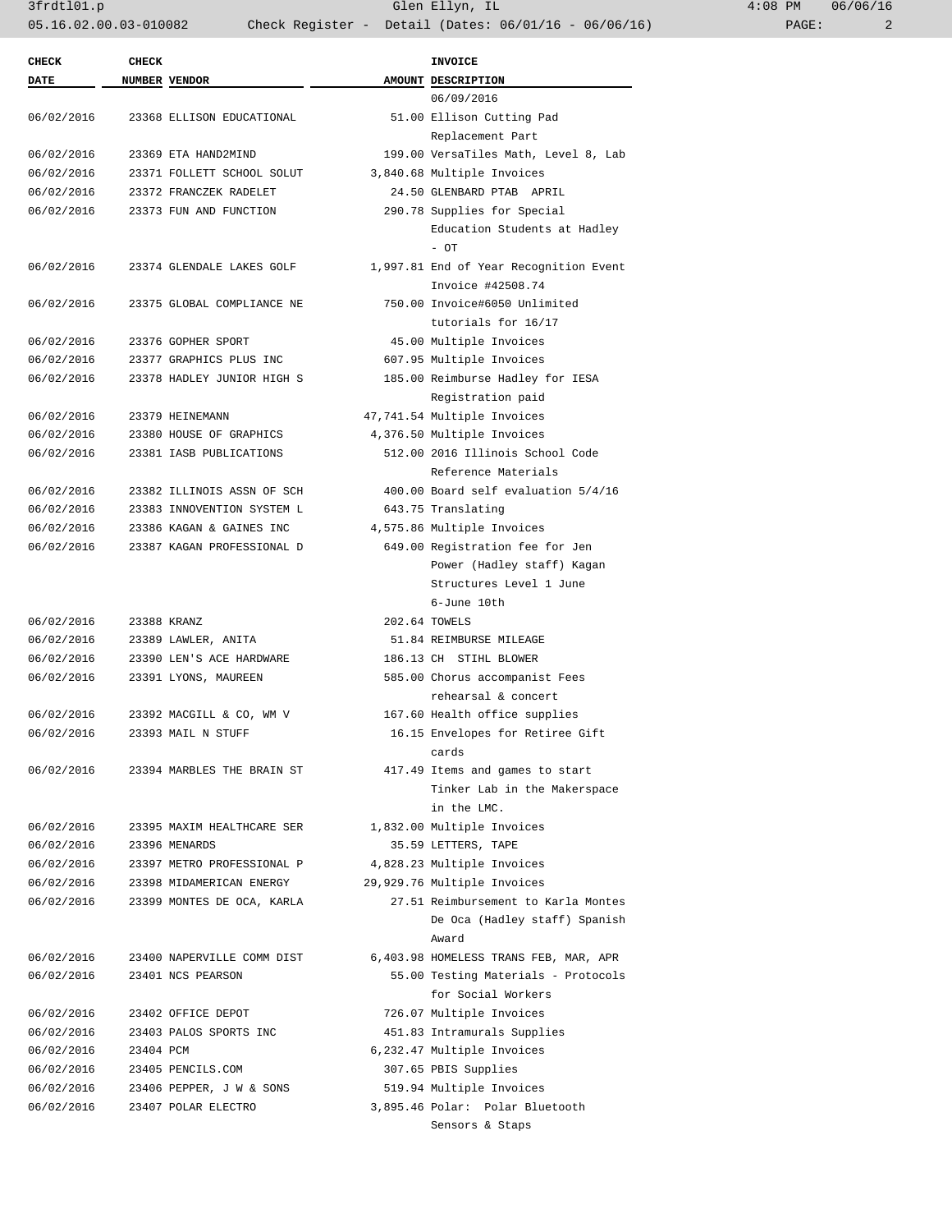3frdtl01.p Glen Ellyn, IL 4:08 PM 06/06/16 05.16.02.00.03-010082 Check Register - Detail (Dates: 06/01/16 - 06/06/16) PAGE: 2

| <b>CHECK</b> | <b>CHECK</b> |                                       | <b>INVOICE</b>                         |  |
|--------------|--------------|---------------------------------------|----------------------------------------|--|
| DATE         |              | NUMBER VENDOR                         | AMOUNT DESCRIPTION                     |  |
|              |              |                                       | 06/09/2016                             |  |
| 06/02/2016   |              | 23368 ELLISON EDUCATIONAL             | 51.00 Ellison Cutting Pad              |  |
|              |              |                                       | Replacement Part                       |  |
| 06/02/2016   |              | 23369 ETA HAND2MIND                   | 199.00 VersaTiles Math, Level 8, Lab   |  |
| 06/02/2016   |              | 23371 FOLLETT SCHOOL SOLUT            | 3,840.68 Multiple Invoices             |  |
| 06/02/2016   |              | 23372 FRANCZEK RADELET                | 24.50 GLENBARD PTAB APRIL              |  |
| 06/02/2016   |              | 23373 FUN AND FUNCTION                | 290.78 Supplies for Special            |  |
|              |              |                                       | Education Students at Hadley           |  |
|              |              |                                       | $-$ OT                                 |  |
| 06/02/2016   |              | 23374 GLENDALE LAKES GOLF             | 1,997.81 End of Year Recognition Event |  |
|              |              |                                       | Invoice #42508.74                      |  |
| 06/02/2016   |              | 23375 GLOBAL COMPLIANCE NE            | 750.00 Invoice#6050 Unlimited          |  |
|              |              |                                       | tutorials for 16/17                    |  |
| 06/02/2016   |              | 23376 GOPHER SPORT                    | 45.00 Multiple Invoices                |  |
| 06/02/2016   |              | 23377 GRAPHICS PLUS INC               | 607.95 Multiple Invoices               |  |
| 06/02/2016   |              | 23378 HADLEY JUNIOR HIGH S            | 185.00 Reimburse Hadley for IESA       |  |
|              |              |                                       | Registration paid                      |  |
| 06/02/2016   |              | 23379 HEINEMANN                       | 47,741.54 Multiple Invoices            |  |
| 06/02/2016   |              | 23380 HOUSE OF GRAPHICS               | 4,376.50 Multiple Invoices             |  |
| 06/02/2016   |              | 23381 IASB PUBLICATIONS               | 512.00 2016 Illinois School Code       |  |
|              |              |                                       | Reference Materials                    |  |
| 06/02/2016   |              | 23382 ILLINOIS ASSN OF SCH            | 400.00 Board self evaluation 5/4/16    |  |
| 06/02/2016   |              | 23383 INNOVENTION SYSTEM L            | 643.75 Translating                     |  |
| 06/02/2016   |              | 23386 KAGAN & GAINES INC              | 4,575.86 Multiple Invoices             |  |
| 06/02/2016   |              | 23387 KAGAN PROFESSIONAL D            | 649.00 Registration fee for Jen        |  |
|              |              |                                       | Power (Hadley staff) Kagan             |  |
|              |              |                                       | Structures Level 1 June                |  |
|              |              |                                       | 6-June 10th                            |  |
| 06/02/2016   |              | 23388 KRANZ                           | 202.64 TOWELS                          |  |
| 06/02/2016   |              | 23389 LAWLER, ANITA                   | 51.84 REIMBURSE MILEAGE                |  |
| 06/02/2016   |              | 23390 LEN'S ACE HARDWARE              | 186.13 CH STIHL BLOWER                 |  |
| 06/02/2016   |              | 23391 LYONS, MAUREEN                  | 585.00 Chorus accompanist Fees         |  |
|              |              |                                       | rehearsal & concert                    |  |
| 06/02/2016   |              | 23392 MACGILL & CO, WM V              | 167.60 Health office supplies          |  |
| 06/02/2016   |              | 23393 MAIL N STUFF                    | 16.15 Envelopes for Retiree Gift       |  |
|              |              |                                       | cards                                  |  |
|              |              | 06/02/2016 23394 MARBLES THE BRAIN ST | 417.49 Items and games to start        |  |
|              |              |                                       | Tinker Lab in the Makerspace           |  |
|              |              |                                       | in the LMC.                            |  |
| 06/02/2016   |              | 23395 MAXIM HEALTHCARE SER            | 1,832.00 Multiple Invoices             |  |
| 06/02/2016   |              | 23396 MENARDS                         | 35.59 LETTERS, TAPE                    |  |
| 06/02/2016   |              | 23397 METRO PROFESSIONAL P            | 4,828.23 Multiple Invoices             |  |
| 06/02/2016   |              | 23398 MIDAMERICAN ENERGY              | 29,929.76 Multiple Invoices            |  |
| 06/02/2016   |              | 23399 MONTES DE OCA, KARLA            | 27.51 Reimbursement to Karla Montes    |  |
|              |              |                                       | De Oca (Hadley staff) Spanish          |  |
|              |              |                                       | Award                                  |  |
| 06/02/2016   |              | 23400 NAPERVILLE COMM DIST            | 6,403.98 HOMELESS TRANS FEB, MAR, APR  |  |
| 06/02/2016   |              | 23401 NCS PEARSON                     | 55.00 Testing Materials - Protocols    |  |
|              |              |                                       | for Social Workers                     |  |
| 06/02/2016   |              | 23402 OFFICE DEPOT                    | 726.07 Multiple Invoices               |  |
|              |              |                                       |                                        |  |
| 06/02/2016   |              | 23403 PALOS SPORTS INC                | 451.83 Intramurals Supplies            |  |
| 06/02/2016   | 23404 PCM    |                                       | 6,232.47 Multiple Invoices             |  |
| 06/02/2016   |              | 23405 PENCILS.COM                     | 307.65 PBIS Supplies                   |  |
| 06/02/2016   |              | 23406 PEPPER, J W & SONS              | 519.94 Multiple Invoices               |  |
| 06/02/2016   |              | 23407 POLAR ELECTRO                   | 3,895.46 Polar: Polar Bluetooth        |  |
|              |              |                                       | Sensors & Staps                        |  |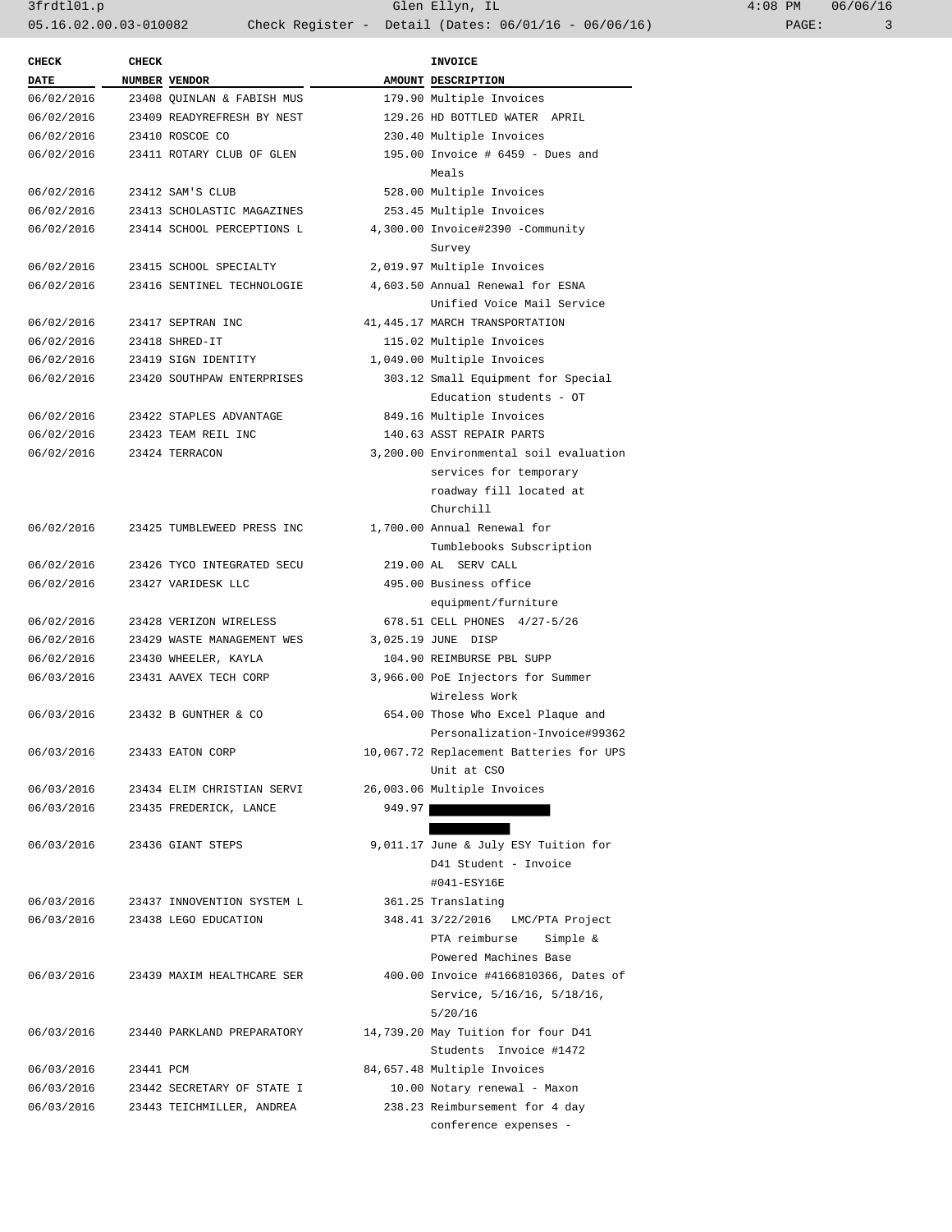3frdtl01.p Glen Ellyn, IL 4:08 PM 06/06/16 05.16.02.00.03-010082 Check Register - Detail (Dates: 06/01/16 - 06/06/16) PAGE: 3

| <b>CHECK</b> | <b>CHECK</b> |                            |        | <b>INVOICE</b>                          |  |  |
|--------------|--------------|----------------------------|--------|-----------------------------------------|--|--|
| <b>DATE</b>  |              | NUMBER VENDOR              |        | AMOUNT DESCRIPTION                      |  |  |
| 06/02/2016   |              | 23408 OUINLAN & FABISH MUS |        | 179.90 Multiple Invoices                |  |  |
| 06/02/2016   |              | 23409 READYREFRESH BY NEST |        | 129.26 HD BOTTLED WATER APRIL           |  |  |
| 06/02/2016   |              | 23410 ROSCOE CO            |        | 230.40 Multiple Invoices                |  |  |
| 06/02/2016   |              | 23411 ROTARY CLUB OF GLEN  |        | 195.00 Invoice # 6459 - Dues and        |  |  |
|              |              |                            |        | Meals                                   |  |  |
| 06/02/2016   |              | 23412 SAM'S CLUB           |        | 528.00 Multiple Invoices                |  |  |
| 06/02/2016   |              | 23413 SCHOLASTIC MAGAZINES |        | 253.45 Multiple Invoices                |  |  |
| 06/02/2016   |              | 23414 SCHOOL PERCEPTIONS L |        | 4,300.00 Invoice#2390 -Community        |  |  |
|              |              |                            |        | Survey                                  |  |  |
| 06/02/2016   |              | 23415 SCHOOL SPECIALTY     |        | 2,019.97 Multiple Invoices              |  |  |
| 06/02/2016   |              | 23416 SENTINEL TECHNOLOGIE |        | 4,603.50 Annual Renewal for ESNA        |  |  |
|              |              |                            |        | Unified Voice Mail Service              |  |  |
| 06/02/2016   |              | 23417 SEPTRAN INC          |        | 41, 445.17 MARCH TRANSPORTATION         |  |  |
| 06/02/2016   |              | 23418 SHRED-IT             |        | 115.02 Multiple Invoices                |  |  |
| 06/02/2016   |              | 23419 SIGN IDENTITY        |        | 1,049.00 Multiple Invoices              |  |  |
| 06/02/2016   |              | 23420 SOUTHPAW ENTERPRISES |        | 303.12 Small Equipment for Special      |  |  |
|              |              |                            |        | Education students - OT                 |  |  |
| 06/02/2016   |              | 23422 STAPLES ADVANTAGE    |        | 849.16 Multiple Invoices                |  |  |
| 06/02/2016   |              | 23423 TEAM REIL INC        |        | 140.63 ASST REPAIR PARTS                |  |  |
| 06/02/2016   |              | 23424 TERRACON             |        | 3,200.00 Environmental soil evaluation  |  |  |
|              |              |                            |        | services for temporary                  |  |  |
|              |              |                            |        | roadway fill located at                 |  |  |
|              |              |                            |        |                                         |  |  |
|              |              |                            |        | Churchill                               |  |  |
| 06/02/2016   |              | 23425 TUMBLEWEED PRESS INC |        | 1,700.00 Annual Renewal for             |  |  |
|              |              |                            |        | Tumblebooks Subscription                |  |  |
| 06/02/2016   |              | 23426 TYCO INTEGRATED SECU |        | 219.00 AL SERV CALL                     |  |  |
| 06/02/2016   |              | 23427 VARIDESK LLC         |        | 495.00 Business office                  |  |  |
|              |              |                            |        | equipment/furniture                     |  |  |
| 06/02/2016   |              | 23428 VERIZON WIRELESS     |        | 678.51 CELL PHONES 4/27-5/26            |  |  |
| 06/02/2016   |              | 23429 WASTE MANAGEMENT WES |        | 3,025.19 JUNE DISP                      |  |  |
| 06/02/2016   |              | 23430 WHEELER, KAYLA       |        | 104.90 REIMBURSE PBL SUPP               |  |  |
| 06/03/2016   |              | 23431 AAVEX TECH CORP      |        | 3,966.00 PoE Injectors for Summer       |  |  |
|              |              |                            |        | Wireless Work                           |  |  |
| 06/03/2016   |              | 23432 B GUNTHER & CO       |        | 654.00 Those Who Excel Plaque and       |  |  |
|              |              |                            |        | Personalization-Invoice#99362           |  |  |
| 06/03/2016   |              | 23433 EATON CORP           |        | 10,067.72 Replacement Batteries for UPS |  |  |
|              |              |                            |        | Unit at CSO                             |  |  |
| 06/03/2016   |              | 23434 ELIM CHRISTIAN SERVI |        | 26,003.06 Multiple Invoices             |  |  |
| 06/03/2016   |              | 23435 FREDERICK, LANCE     | 949.97 |                                         |  |  |
|              |              |                            |        |                                         |  |  |
| 06/03/2016   |              | 23436 GIANT STEPS          |        | 9,011.17 June & July ESY Tuition for    |  |  |
|              |              |                            |        | D41 Student - Invoice                   |  |  |
|              |              |                            |        | #041-ESY16E                             |  |  |
| 06/03/2016   |              | 23437 INNOVENTION SYSTEM L |        | 361.25 Translating                      |  |  |
| 06/03/2016   |              | 23438 LEGO EDUCATION       |        | 348.41 3/22/2016 LMC/PTA Project        |  |  |
|              |              |                            |        | PTA reimburse<br>Simple &               |  |  |
|              |              |                            |        | Powered Machines Base                   |  |  |
| 06/03/2016   |              | 23439 MAXIM HEALTHCARE SER |        | 400.00 Invoice #4166810366, Dates of    |  |  |
|              |              |                            |        | Service, 5/16/16, 5/18/16,              |  |  |
|              |              |                            |        | 5/20/16                                 |  |  |
| 06/03/2016   |              | 23440 PARKLAND PREPARATORY |        | 14,739.20 May Tuition for four D41      |  |  |
|              |              |                            |        | Students Invoice #1472                  |  |  |
| 06/03/2016   | 23441 PCM    |                            |        | 84,657.48 Multiple Invoices             |  |  |
| 06/03/2016   |              | 23442 SECRETARY OF STATE I |        | 10.00 Notary renewal - Maxon            |  |  |
| 06/03/2016   |              | 23443 TEICHMILLER, ANDREA  |        | 238.23 Reimbursement for 4 day          |  |  |
|              |              |                            |        | conference expenses -                   |  |  |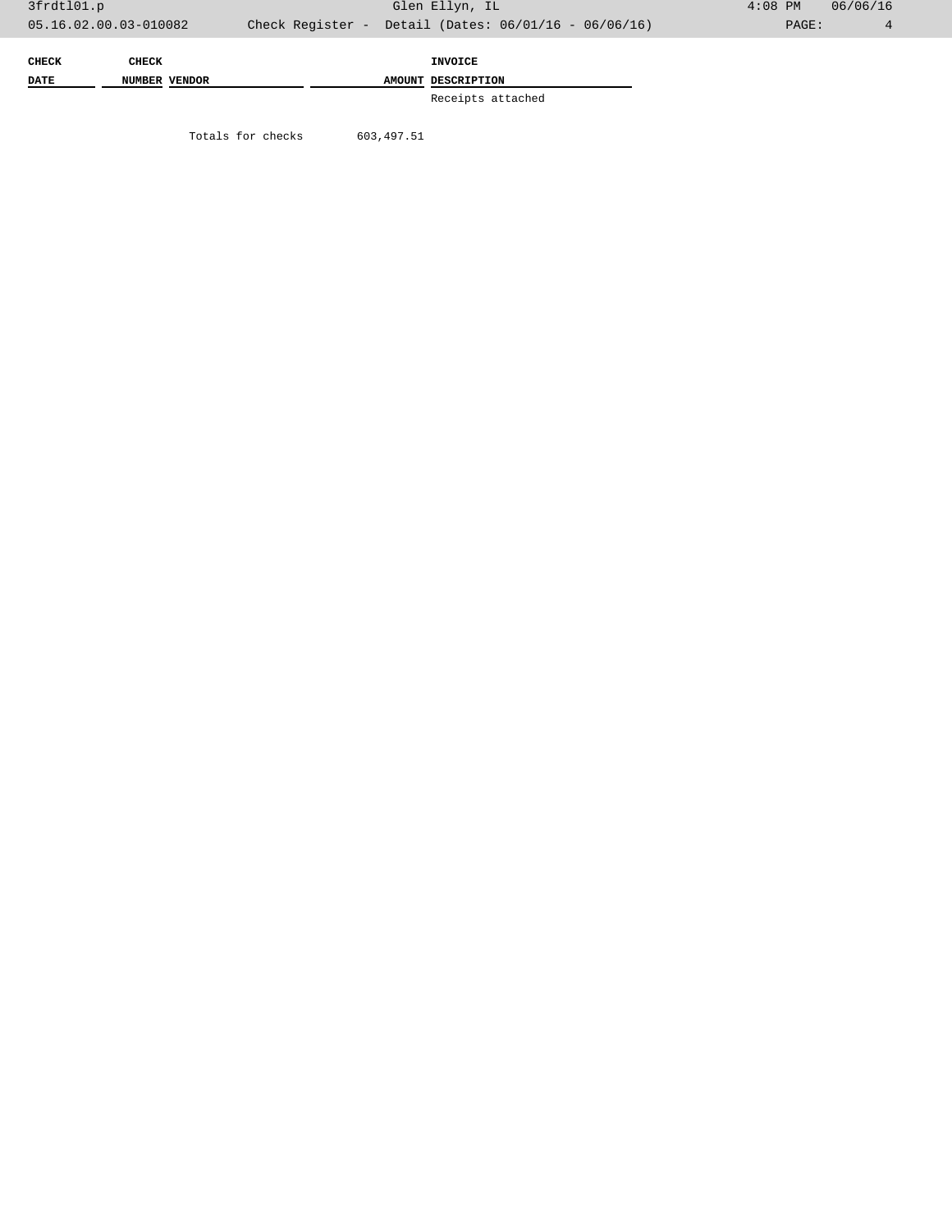| CHECK       | <b>CHECK</b>  |  | <b>INVOICE</b>     |
|-------------|---------------|--|--------------------|
| <b>DATE</b> | NUMBER VENDOR |  | AMOUNT DESCRIPTION |
|             |               |  | Receipts attached  |

Totals for checks 603,497.51